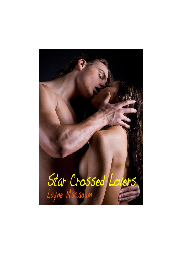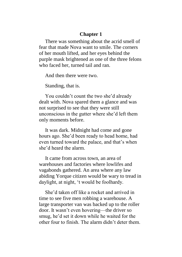## **Chapter 1**

There was something about the acrid smell of fear that made Nova want to smile. The corners of her mouth lifted, and her eyes behind the purple mask brightened as one of the three felons who faced her, turned tail and ran.

And then there were two.

Standing, that is.

You couldn't count the two she'd already dealt with. Nova spared them a glance and was not surprised to see that they were still unconscious in the gutter where she'd left them only moments before.

It was dark. Midnight had come and gone hours ago. She'd been ready to head home, had even turned toward the palace, and that's when she'd heard the alarm.

It came from across town, an area of warehouses and factories where lowlifes and vagabonds gathered. An area where any law abiding Yorque citizen would be wary to tread in daylight, at night, 't would be foolhardy.

She'd taken off like a rocket and arrived in time to see five men robbing a warehouse. A large transporter van was backed up to the roller door. It wasn't even hovering—the driver so smug, he'd set it down while he waited for the other four to finish. The alarm didn't deter them.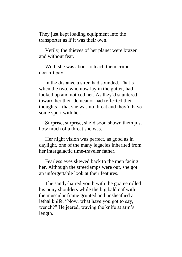They just kept loading equipment into the transporter as if it was their own.

Verily, the thieves of her planet were brazen and without fear.

Well, she was about to teach them crime doesn't pay.

In the distance a siren had sounded. That's when the two, who now lay in the gutter, had looked up and noticed her. As they'd sauntered toward her their demeanor had reflected their thoughts—that she was no threat and they'd have some sport with her.

Surprise, surprise, she'd soon shown them just how much of a threat she was.

Her night vision was perfect, as good as in daylight, one of the many legacies inherited from her intergalactic time-traveler father.

Fearless eyes skewed back to the men facing her. Although the streetlamps were out, she got an unforgettable look at their features.

The sandy-haired youth with the goatee rolled his puny shoulders while the big bald oaf with the muscular frame grunted and unsheathed a lethal knife. "Now, what have you got to say, wench?" He jeered, waving the knife at arm's length.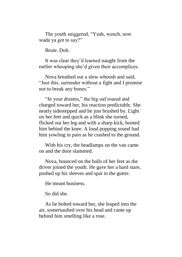The youth sniggered, "Yeah, wench, now wada ya got to say?"

Brute. Dolt.

It was clear they'd learned naught from the earlier whooping she'd given their accomplices.

Nova breathed out a slow whoosh and said, "Just this, surrender without a fight and I promise not to break any bones."

"In your dreams," the big oaf roared and charged toward her, his reaction predictable. She neatly sidestepped and he just brushed by. Light on her feet and quick as a blink she turned, flicked out her leg and with a sharp kick, booted him behind the knee. A loud popping sound had him yowling in pain as he crashed to the ground.

With his cry, the headlamps on the van came on and the door slammed.

Nova, bounced on the balls of her feet as the driver joined the youth. He gave her a hard stare, pushed up his sleeves and spat in the gutter.

He meant business.

So did she.

As he bolted toward her, she leaped into the air, somersaulted over his head and came up behind him smelling like a rose.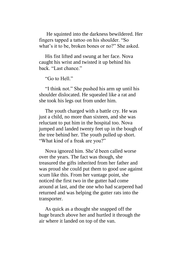He squinted into the darkness bewildered. Her fingers tapped a tattoo on his shoulder. "So what's it to be, broken bones or no?" She asked.

His fist lifted and swung at her face. Nova caught his wrist and twisted it up behind his back. "Last chance."

"Go to Hell"

"I think not." She pushed his arm up until his shoulder dislocated. He squealed like a rat and she took his legs out from under him.

The youth charged with a battle cry. He was just a child, no more than sixteen, and she was reluctant to put him in the hospital too. Nova jumped and landed twenty feet up in the bough of the tree behind her. The youth pulled up short. "What kind of a freak are you?"

Nova ignored him. She'd been called worse over the years. The fact was though, she treasured the gifts inherited from her father and was proud she could put them to good use against scum like this. From her vantage point, she noticed the first two in the gutter had come around at last, and the one who had scarpered had returned and was helping the gutter rats into the transporter.

As quick as a thought she snapped off the huge branch above her and hurtled it through the air where it landed on top of the van.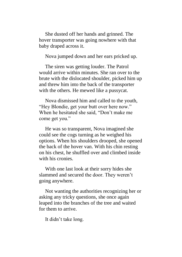She dusted off her hands and grinned. The hover transporter was going nowhere with that baby draped across it.

Nova jumped down and her ears pricked up.

The siren was getting louder. The Patrol would arrive within minutes. She ran over to the brute with the dislocated shoulder, picked him up and threw him into the back of the transporter with the others. He mewed like a pussycat.

Nova dismissed him and called to the youth, "Hey Blondie, get your butt over here now." When he hesitated she said, "Don't make me come get you."

He was so transparent, Nova imagined she could see the cogs turning as he weighed his options. When his shoulders drooped, she opened the back of the hover van. With his chin resting on his chest, he shuffled over and climbed inside with his cronies.

With one last look at their sorry hides she slammed and secured the door. They weren't going anywhere.

Not wanting the authorities recognizing her or asking any tricky questions, she once again leaped into the branches of the tree and waited for them to arrive.

It didn't take long.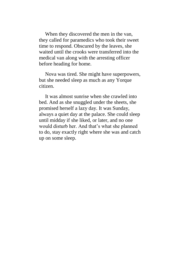When they discovered the men in the van. they called for paramedics who took their sweet time to respond. Obscured by the leaves, she waited until the crooks were transferred into the medical van along with the arresting officer before heading for home.

Nova was tired. She might have superpowers, but she needed sleep as much as any Yorque citizen.

It was almost sunrise when she crawled into bed. And as she snuggled under the sheets, she promised herself a lazy day. It was Sunday, always a quiet day at the palace. She could sleep until midday if she liked, or later, and no one would disturb her. And that's what she planned to do, stay exactly right where she was and catch up on some sleep.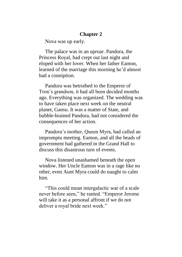## **Chapter 2**

Nova was up early.

The palace was in an uproar. Pandora, the Princess Royal, had crept out last night and eloped with her lover. When her father Eamon, learned of the marriage this morning he'd almost had a conniption.

Pandora was betrothed to the Emperor of Tron's grandson, it had all been decided months ago. Everything was organized. The wedding was to have taken place next week on the neutral planet, Gansu. It was a matter of State, and bubble-brained Pandora, had not considered the consequences of her action.

Pandora's mother, Queen Myra, had called an impromptu meeting. Eamon, and all the heads of government had gathered in the Grand Hall to discuss this disastrous turn of events.

Nova listened unashamed beneath the open window. Her Uncle Eamon was in a rage like no other, even Aunt Myra could do naught to calm him.

"This could mean intergalactic war of a scale never before seen," he ranted. "Emperor Jerome will take it as a personal affront if we do not deliver a royal bride next week."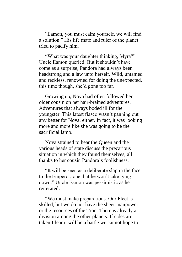"Eamon, you must calm yourself, we will find a solution." His life mate and ruler of the planet tried to pacify him.

"What was your daughter thinking, Myra?" Uncle Eamon queried. But it shouldn't have come as a surprise, Pandora had always been headstrong and a law unto herself. Wild, untamed and reckless, renowned for doing the unexpected, this time though, she'd gone too far.

Growing up, Nova had often followed her older cousin on her hair-brained adventures. Adventures that always boded ill for the youngster. This latest fiasco wasn't panning out any better for Nova, either. In fact, it was looking more and more like she was going to be the sacrificial lamb.

Nova strained to hear the Queen and the various heads of state discuss the precarious situation in which they found themselves, all thanks to her cousin Pandora's foolishness.

"It will be seen as a deliberate slap in the face to the Emperor, one that he won't take lying down." Uncle Eamon was pessimistic as he reiterated.

"We must make preparations. Our Fleet is skilled, but we do not have the sheer manpower or the resources of the Tron. There is already a division among the other planets. If sides are taken I fear it will be a battle we cannot hope to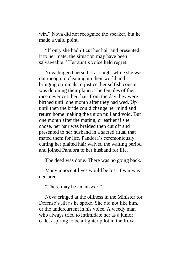win." Nova did not recognize the speaker, but he made a valid point.

"If only she hadn't cut her hair and presented it to her mate, the situation may have been salvageable." Her aunt's voice held regret.

Nova hugged herself. Last night while she was out incognito cleaning up their world and bringing criminals to justice, her selfish cousin was dooming their planet. The females of their race never cut their hair from the day they were birthed until one month after they had wed. Up until then the bride could change her mind and return home making the union null and void. But one month after the mating, or earlier if she chose, her hair was braided then cut off and presented to her husband in a sacred ritual that mated them for life. Pandora's ceremoniously cutting her plaited hair waived the waiting period and joined Pandora to her husband for life.

The deed was done. There was no going back.

Many innocent lives would be lost if war was declared.

"There may be an answer."

Nova cringed at the oiliness in the Minister for Defense's lilt as he spoke. She did not like him, or the undercurrent in his voice. A weedy man who always tried to intimidate her as a junior cadet aspiring to be a fighter pilot in the Royal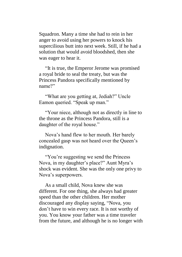Squadron. Many a time she had to rein in her anger to avoid using her powers to knock his supercilious butt into next week. Still, if he had a solution that would avoid bloodshed, then she was eager to hear it.

"It is true, the Emperor Jerome was promised a royal bride to seal the treaty, but was the Princess Pandora specifically mentioned by name?"

"What are you getting at, Jediah?" Uncle Eamon queried. "Speak up man."

"Your niece, although not as directly in line to the throne as the Princess Pandora, still is a daughter of the royal house."

Nova's hand flew to her mouth. Her barely concealed gasp was not heard over the Queen's indignation.

"You're suggesting we send the Princess Nova, in my daughter's place?" Aunt Myra's shock was evident. She was the only one privy to Nova's superpowers.

As a small child, Nova knew she was different. For one thing, she always had greater speed than the other children. Her mother discouraged any display saying, "Nova, you don't have to win every race. It is not worthy of you. You know your father was a time traveler from the future, and although he is no longer with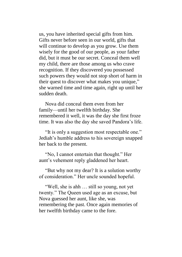us, you have inherited special gifts from him. Gifts never before seen in our world, gifts that will continue to develop as you grow. Use them wisely for the good of our people, as your father did, but it must be our secret. Conceal them well my child, there are those among us who crave recognition. If they discovered you possessed such powers they would not stop short of harm in their quest to discover what makes you unique*,*" she warned time and time again, right up until her sudden death.

Nova did conceal them even from her family—until her twelfth birthday. She remembered it well, it was the day she first froze time. It was also the day she saved Pandora's life.

"It is only a suggestion most respectable one." Jediah's humble address to his sovereign snapped her back to the present.

"No, I cannot entertain that thought." Her aunt's vehement reply gladdened her heart.

"But why not my dear? It is a solution worthy of consideration." Her uncle sounded hopeful.

"Well, she is ahh … still so young, not yet twenty." The Queen used age as an excuse, but Nova guessed her aunt, like she, was remembering the past. Once again memories of her twelfth birthday came to the fore.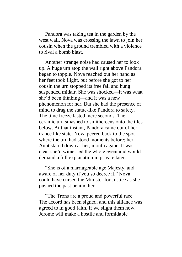Pandora was taking tea in the garden by the west wall. Nova was crossing the lawn to join her cousin when the ground trembled with a violence to rival a bomb blast.

Another strange noise had caused her to look up. A huge urn atop the wall right above Pandora began to topple. Nova reached out her hand as her feet took flight, but before she got to her cousin the urn stopped its free fall and hung suspended midair. She was shocked—it was what she'd been thinking—and it was a new phenomenon for her. But she had the presence of mind to drag the statue-like Pandora to safety. The time freeze lasted mere seconds. The ceramic urn smashed to smithereens onto the tiles below. At that instant, Pandora came out of her trance like state. Nova peered back to the spot where the urn had stood moments before; her Aunt stared down at her, mouth agape. It was clear she'd witnessed the whole event and would demand a full explanation in private later.

"She is of a marriageable age Majesty, and aware of her duty if you so decree it." Nova could have cursed the Minister for Justice as she pushed the past behind her.

"The Trons are a proud and powerful race. The accord has been signed, and this alliance was agreed to in good faith. If we slight them now, Jerome will make a hostile and formidable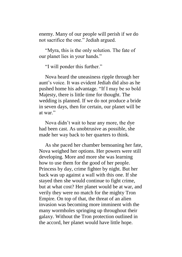enemy. Many of our people will perish if we do not sacrifice the one." Jediah argued.

"Myra, this is the only solution. The fate of our planet lies in your hands."

"I will ponder this further."

Nova heard the uneasiness ripple through her aunt's voice. It was evident Jediah did also as he pushed home his advantage. "If I may be so bold Majesty, there is little time for thought. The wedding is planned. If we do not produce a bride in seven days, then for certain, our planet will be at war."

Nova didn't wait to hear any more, the dye had been cast. As unobtrusive as possible, she made her way back to her quarters to think.

As she paced her chamber bemoaning her fate, Nova weighed her options. Her powers were still developing. More and more she was learning how to use them for the good of her people. Princess by day, crime fighter by night. But her back was up against a wall with this one. If she stayed then she would continue to fight crime, but at what cost? Her planet would be at war, and verily they were no match for the mighty Tron Empire. On top of that, the threat of an alien invasion was becoming more imminent with the many wormholes springing up throughout their galaxy. Without the Tron protection outlined in the accord, her planet would have little hope.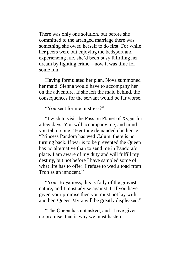There was only one solution, but before she committed to the arranged marriage there was something she owed herself to do first. For while her peers were out enjoying the bedsport and experiencing life, she'd been busy fulfilling her dream by fighting crime—now it was time for some fun.

Having formulated her plan, Nova summoned her maid. Sienna would have to accompany her on the adventure. If she left the maid behind, the consequences for the servant would be far worse.

"You sent for me mistress?"

"I wish to visit the Passion Planet of Xygar for a few days. You will accompany me, and mind you tell no one." Her tone demanded obedience. "Princess Pandora has wed Calum, there is no turning back. If war is to be prevented the Queen has no alternative than to send me in Pandora's place. I am aware of my duty and will fulfill my destiny, but not before I have sampled some of what life has to offer. I refuse to wed a toad from Tron as an innocent."

"Your Royalness, this is folly of the gravest nature, and I must advise against it. If you have given your promise then you must not lay with another, Queen Myra will be greatly displeased."

"The Queen has not asked, and I have given no promise, that is why we must hasten."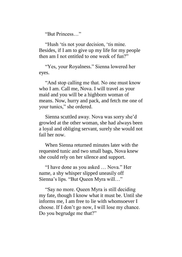"But Princess…"

"Hush 'tis not your decision, 'tis mine. Besides, if I am to give up my life for my people then am I not entitled to one week of fun?"

"Yes, your Royalness." Sienna lowered her eyes.

"And stop calling me that. No one must know who I am. Call me, Nova. I will travel as your maid and you will be a highborn woman of means. Now, hurry and pack, and fetch me one of your tunics," she ordered.

Sienna scuttled away. Nova was sorry she'd growled at the other woman, she had always been a loyal and obliging servant, surely she would not fail her now.

When Sienna returned minutes later with the requested tunic and two small bags, Nova knew she could rely on her silence and support.

"I have done as you asked … Nova." Her name, a shy whisper slipped uneasily off Sienna's lips. "But Queen Myra will…"

"Say no more. Queen Myra is still deciding my fate, though I know what it must be. Until she informs me, I am free to lie with whomsoever I choose. If I don't go now, I will lose my chance. Do you begrudge me that?"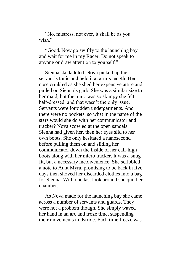"No, mistress, not ever, it shall be as you wish"

"Good. Now go swiftly to the launching bay and wait for me in my Racer. Do not speak to anyone or draw attention to yourself."

Sienna skedaddled. Nova picked up the servant's tunic and held it at arm's length. Her nose crinkled as she shed her expensive attire and pulled on Sienna's garb. She was a similar size to her maid, but the tunic was so skimpy she felt half-dressed, and that wasn't the only issue. Servants were forbidden undergarments. And there were no pockets, so what in the name of the stars would she do with her communicator and tracker? Nova scowled at the open sandals Sienna had given her, then her eyes slid to her own boots. She only hesitated a nanosecond before pulling them on and sliding her communicator down the inside of her calf-high boots along with her micro tracker. It was a snug fit, but a necessary inconvenience. She scribbled a note to Aunt Myra, promising to be back in five days then shoved her discarded clothes into a bag for Sienna. With one last look around she quit her chamber.

As Nova made for the launching bay she came across a number of servants and guards. They were not a problem though. She simply waved her hand in an arc and froze time, suspending their movements midstride. Each time freeze was